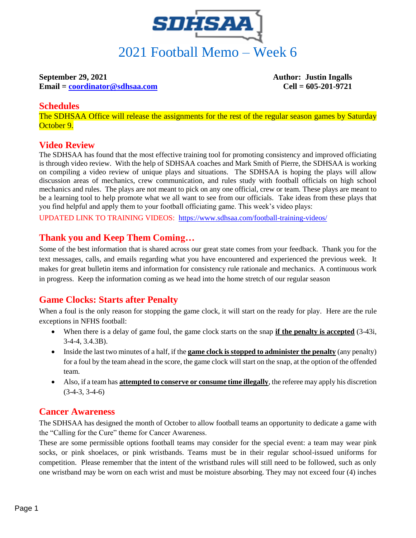

# **September 29, 2021 Author: Justin Ingalls**

**Email = [coordinator@sdhsaa.com](mailto:coordinator@sdhsaa.com) Cell = 605-201-9721**

#### **Schedules**

The SDHSAA Office will release the assignments for the rest of the regular season games by Saturday October 9.

### **Video Review**

The SDHSAA has found that the most effective training tool for promoting consistency and improved officiating is through video review. With the help of SDHSAA coaches and Mark Smith of Pierre, the SDHSAA is working on compiling a video review of unique plays and situations. The SDHSAA is hoping the plays will allow discussion areas of mechanics, crew communication, and rules study with football officials on high school mechanics and rules. The plays are not meant to pick on any one official, crew or team. These plays are meant to be a learning tool to help promote what we all want to see from our officials. Take ideas from these plays that you find helpful and apply them to your football officiating game. This week's video plays:

UPDATED LINK TO TRAINING VIDEOS: <https://www.sdhsaa.com/football-training-videos/>

## **Thank you and Keep Them Coming…**

Some of the best information that is shared across our great state comes from your feedback. Thank you for the text messages, calls, and emails regarding what you have encountered and experienced the previous week. It makes for great bulletin items and information for consistency rule rationale and mechanics. A continuous work in progress. Keep the information coming as we head into the home stretch of our regular season

# **Game Clocks: Starts after Penalty**

When a foul is the only reason for stopping the game clock, it will start on the ready for play. Here are the rule exceptions in NFHS football:

- When there is a delay of game foul, the game clock starts on the snap **if the penalty is accepted** (3-43i, 3-4-4, 3.4.3B).
- Inside the last two minutes of a half, if the **game clock is stopped to administer the penalty** (any penalty) for a foul by the team ahead in the score, the game clock will start on the snap, at the option of the offended team.
- Also, if a team has **attempted to conserve or consume time illegally**, the referee may apply his discretion (3-4-3, 3-4-6)

### **Cancer Awareness**

The SDHSAA has designed the month of October to allow football teams an opportunity to dedicate a game with the "Calling for the Cure" theme for Cancer Awareness.

These are some permissible options football teams may consider for the special event: a team may wear pink socks, or pink shoelaces, or pink wristbands. Teams must be in their regular school-issued uniforms for competition. Please remember that the intent of the wristband rules will still need to be followed, such as only one wristband may be worn on each wrist and must be moisture absorbing. They may not exceed four (4) inches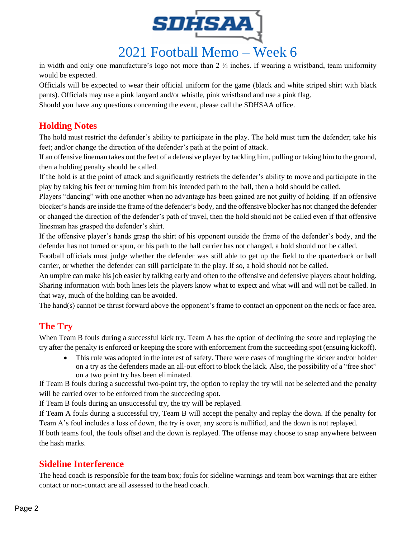

2021 Football Memo – Week 6

in width and only one manufacture's logo not more than  $2\frac{1}{4}$  inches. If wearing a wristband, team uniformity would be expected.

Officials will be expected to wear their official uniform for the game (black and white striped shirt with black pants). Officials may use a pink lanyard and/or whistle, pink wristband and use a pink flag.

Should you have any questions concerning the event, please call the SDHSAA office.

## **Holding Notes**

The hold must restrict the defender's ability to participate in the play. The hold must turn the defender; take his feet; and/or change the direction of the defender's path at the point of attack.

If an offensive lineman takes out the feet of a defensive player by tackling him, pulling or taking him to the ground, then a holding penalty should be called.

If the hold is at the point of attack and significantly restricts the defender's ability to move and participate in the play by taking his feet or turning him from his intended path to the ball, then a hold should be called.

Players "dancing" with one another when no advantage has been gained are not guilty of holding. If an offensive blocker's hands are inside the frame of the defender's body, and the offensive blocker has not changed the defender or changed the direction of the defender's path of travel, then the hold should not be called even if that offensive linesman has grasped the defender's shirt.

If the offensive player's hands grasp the shirt of his opponent outside the frame of the defender's body, and the defender has not turned or spun, or his path to the ball carrier has not changed, a hold should not be called.

Football officials must judge whether the defender was still able to get up the field to the quarterback or ball carrier, or whether the defender can still participate in the play. If so, a hold should not be called.

An umpire can make his job easier by talking early and often to the offensive and defensive players about holding. Sharing information with both lines lets the players know what to expect and what will and will not be called. In that way, much of the holding can be avoided.

The hand(s) cannot be thrust forward above the opponent's frame to contact an opponent on the neck or face area.

# **The Try**

When Team B fouls during a successful kick try, Team A has the option of declining the score and replaying the try after the penalty is enforced or keeping the score with enforcement from the succeeding spot (ensuing kickoff).

• This rule was adopted in the interest of safety. There were cases of roughing the kicker and/or holder on a try as the defenders made an all-out effort to block the kick. Also, the possibility of a "free shot" on a two point try has been eliminated.

If Team B fouls during a successful two-point try, the option to replay the try will not be selected and the penalty will be carried over to be enforced from the succeeding spot.

If Team B fouls during an unsuccessful try, the try will be replayed.

If Team A fouls during a successful try, Team B will accept the penalty and replay the down. If the penalty for Team A's foul includes a loss of down, the try is over, any score is nullified, and the down is not replayed.

If both teams foul, the fouls offset and the down is replayed. The offense may choose to snap anywhere between the hash marks.

# **Sideline Interference**

The head coach is responsible for the team box; fouls for sideline warnings and team box warnings that are either contact or non-contact are all assessed to the head coach.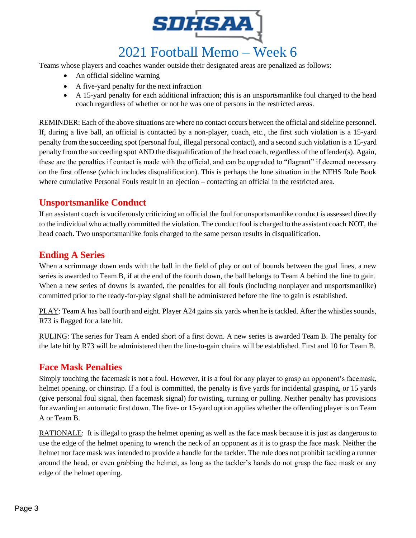

Teams whose players and coaches wander outside their designated areas are penalized as follows:

- An official sideline warning
- A five-yard penalty for the next infraction
- A 15-yard penalty for each additional infraction; this is an unsportsmanlike foul charged to the head coach regardless of whether or not he was one of persons in the restricted areas.

REMINDER: Each of the above situations are where no contact occurs between the official and sideline personnel. If, during a live ball, an official is contacted by a non-player, coach, etc., the first such violation is a 15-yard penalty from the succeeding spot (personal foul, illegal personal contact), and a second such violation is a 15-yard penalty from the succeeding spot AND the disqualification of the head coach, regardless of the offender(s). Again, these are the penalties if contact is made with the official, and can be upgraded to "flagrant" if deemed necessary on the first offense (which includes disqualification). This is perhaps the lone situation in the NFHS Rule Book where cumulative Personal Fouls result in an ejection – contacting an official in the restricted area.

### **Unsportsmanlike Conduct**

If an assistant coach is vociferously criticizing an official the foul for unsportsmanlike conduct is assessed directly to the individual who actually committed the violation. The conduct foul is charged to the assistant coach NOT, the head coach. Two unsportsmanlike fouls charged to the same person results in disqualification.

### **Ending A Series**

When a scrimmage down ends with the ball in the field of play or out of bounds between the goal lines, a new series is awarded to Team B, if at the end of the fourth down, the ball belongs to Team A behind the line to gain. When a new series of downs is awarded, the penalties for all fouls (including nonplayer and unsportsmanlike) committed prior to the ready-for-play signal shall be administered before the line to gain is established.

PLAY: Team A has ball fourth and eight. Player A24 gains six yards when he is tackled. After the whistles sounds, R73 is flagged for a late hit.

RULING: The series for Team A ended short of a first down. A new series is awarded Team B. The penalty for the late hit by R73 will be administered then the line-to-gain chains will be established. First and 10 for Team B.

#### **Face Mask Penalties**

Simply touching the facemask is not a foul. However, it is a foul for any player to grasp an opponent's facemask, helmet opening, or chinstrap. If a foul is committed, the penalty is five yards for incidental grasping, or 15 yards (give personal foul signal, then facemask signal) for twisting, turning or pulling. Neither penalty has provisions for awarding an automatic first down. The five- or 15-yard option applies whether the offending player is on Team A or Team B.

RATIONALE: It is illegal to grasp the helmet opening as well as the face mask because it is just as dangerous to use the edge of the helmet opening to wrench the neck of an opponent as it is to grasp the face mask. Neither the helmet nor face mask was intended to provide a handle for the tackler. The rule does not prohibit tackling a runner around the head, or even grabbing the helmet, as long as the tackler's hands do not grasp the face mask or any edge of the helmet opening.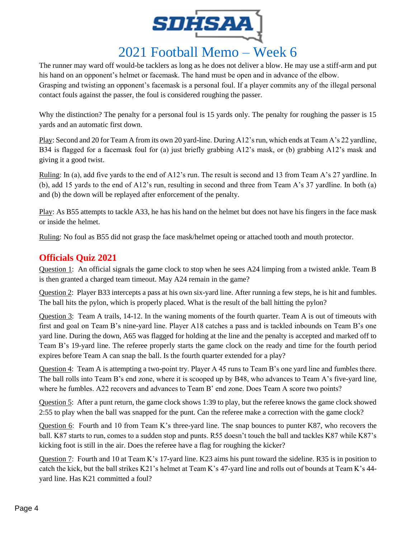

The runner may ward off would-be tacklers as long as he does not deliver a blow. He may use a stiff-arm and put his hand on an opponent's helmet or facemask. The hand must be open and in advance of the elbow. Grasping and twisting an opponent's facemask is a personal foul. If a player commits any of the illegal personal contact fouls against the passer, the foul is considered roughing the passer.

Why the distinction? The penalty for a personal foul is 15 yards only. The penalty for roughing the passer is 15 yards and an automatic first down.

Play: Second and 20 for Team A from its own 20 yard-line. During A12's run, which ends at Team A's 22 yardline, B34 is flagged for a facemask foul for (a) just briefly grabbing A12's mask, or (b) grabbing A12's mask and giving it a good twist.

Ruling: In (a), add five yards to the end of A12's run. The result is second and 13 from Team A's 27 yardline. In (b), add 15 yards to the end of A12's run, resulting in second and three from Team A's 37 yardline. In both (a) and (b) the down will be replayed after enforcement of the penalty.

Play: As B55 attempts to tackle A33, he has his hand on the helmet but does not have his fingers in the face mask or inside the helmet.

Ruling: No foul as B55 did not grasp the face mask/helmet opeing or attached tooth and mouth protector.

## **Officials Quiz 2021**

Question 1: An official signals the game clock to stop when he sees A24 limping from a twisted ankle. Team B is then granted a charged team timeout. May A24 remain in the game?

Question 2: Player B33 intercepts a pass at his own six-yard line. After running a few steps, he is hit and fumbles. The ball hits the pylon, which is properly placed. What is the result of the ball hitting the pylon?

Question 3: Team A trails, 14-12. In the waning moments of the fourth quarter. Team A is out of timeouts with first and goal on Team B's nine-yard line. Player A18 catches a pass and is tackled inbounds on Team B's one yard line. During the down, A65 was flagged for holding at the line and the penalty is accepted and marked off to Team B's 19-yard line. The referee properly starts the game clock on the ready and time for the fourth period expires before Team A can snap the ball. Is the fourth quarter extended for a play?

Question 4: Team A is attempting a two-point try. Player A 45 runs to Team B's one yard line and fumbles there. The ball rolls into Team B's end zone, where it is scooped up by B48, who advances to Team A's five-yard line, where he fumbles. A22 recovers and advances to Team B' end zone. Does Team A score two points?

Question 5: After a punt return, the game clock shows 1:39 to play, but the referee knows the game clock showed 2:55 to play when the ball was snapped for the punt. Can the referee make a correction with the game clock?

Question 6: Fourth and 10 from Team K's three-yard line. The snap bounces to punter K87, who recovers the ball. K87 starts to run, comes to a sudden stop and punts. R55 doesn't touch the ball and tackles K87 while K87's kicking foot is still in the air. Does the referee have a flag for roughing the kicker?

Question 7: Fourth and 10 at Team K's 17-yard line. K23 aims his punt toward the sideline. R35 is in position to catch the kick, but the ball strikes K21's helmet at Team K's 47-yard line and rolls out of bounds at Team K's 44 yard line. Has K21 committed a foul?